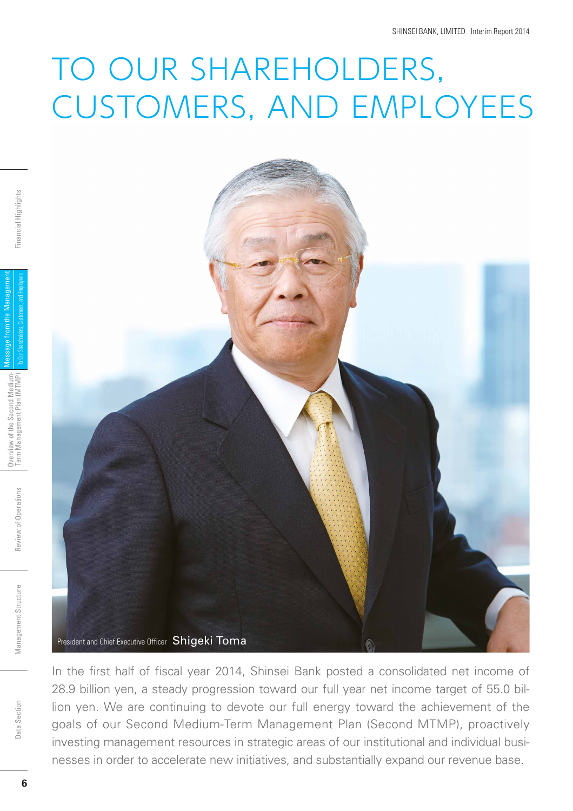## TO OUR SHAREHOLDERS, CUSTOMERS, AND EMPLOYEES



In the first half of fiscal year 2014, Shinsei Bank posted a consolidated net income of 28.9 billion yen, a steady progression toward our full year net income target of 55.0 billion yen. We are continuing to devote our full energy toward the achievement of the goals of our Second Medium-Term Management Plan (Second MTMP), proactively investing management resources in strategic areas of our institutional and individual businesses in order to accelerate new initiatives, and substantially expand our revenue base.